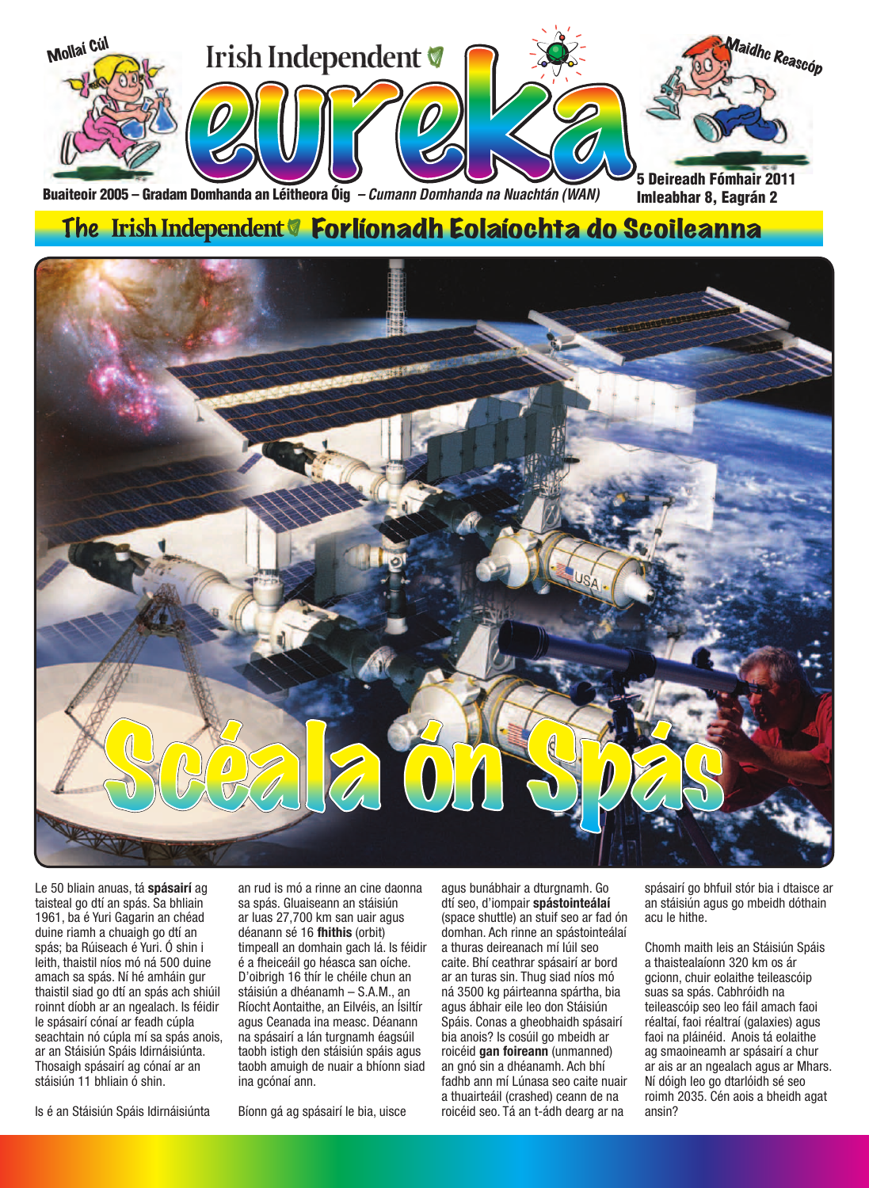

Buaiteoir 2005 – Gradam Domhanda an Léitheora Óig *– Cumann Domhanda na Nuachtán (WAN)*

### The Irish Independent **& Forlíonadh Eolaíochta do Scoileanna**



Le 50 bliain anuas, tá **spásairí** ag taisteal go dtí an spás. Sa bhliain 1961, ba é Yuri Gagarin an chéad duine riamh a chuaigh go dtí an spás; ba Rúiseach é Yuri. Ó shin i leith, thaistil níos mó ná 500 duine amach sa spás. Ní hé amháin gur thaistil siad go dtí an spás ach shiúil roinnt díobh ar an ngealach. Is féidir le spásairí cónaí ar feadh cúpla seachtain nó cúpla mí sa spás anois, ar an Stáisiún Spáis Idirnáisiúnta. Thosaigh spásairí ag cónaí ar an stáisiún 11 bhliain ó shin.

Is é an Stáisiún Spáis Idirnáisiúnta

an rud is mó a rinne an cine daonna sa spás. Gluaiseann an stáisiún ar luas 27,700 km san uair agus déanann sé 16 **fhithis** (orbit) timpeall an domhain gach lá. Is féidir é a fheiceáil go héasca san oíche. D'oibrigh 16 thír le chéile chun an stáisiún a dhéanamh – S.A.M., an Ríocht Aontaithe, an Eilvéis, an Ísiltír agus Ceanada ina measc. Déanann na spásairí a lán turgnamh éagsúil taobh istigh den stáisiún spáis agus taobh amuigh de nuair a bhíonn siad ina gcónaí ann.

Bíonn gá ag spásairí le bia, uisce

agus bunábhair a dturgnamh. Go dtí seo, d'iompair **spástointeálaí**  (space shuttle) an stuif seo ar fad ón domhan. Ach rinne an spástointeálaí a thuras deireanach mí Iúil seo caite. Bhí ceathrar spásairí ar bord ar an turas sin. Thug siad níos mó ná 3500 kg páirteanna spártha, bia agus ábhair eile leo don Stáisiún Spáis. Conas a gheobhaidh spásairí bia anois? Is cosúil go mbeidh ar roicéid **gan foireann** (unmanned) an gnó sin a dhéanamh. Ach bhí fadhb ann mí Lúnasa seo caite nuair a thuairteáil (crashed) ceann de na roicéid seo. Tá an t-ádh dearg ar na

spásairí go bhfuil stór bia i dtaisce ar an stáisiún agus go mbeidh dóthain acu le hithe.

Imleabhar 8, Eagrán 2

Chomh maith leis an Stáisiún Spáis a thaistealaíonn 320 km os ár gcionn, chuir eolaithe teileascóip suas sa spás. Cabhróidh na teileascóip seo leo fáil amach faoi réaltaí, faoi réaltraí (galaxies) agus faoi na pláinéid. Anois tá eolaithe ag smaoineamh ar spásairí a chur ar ais ar an ngealach agus ar Mhars. Ní dóigh leo go dtarlóidh sé seo roimh 2035. Cén aois a bheidh agat ansin?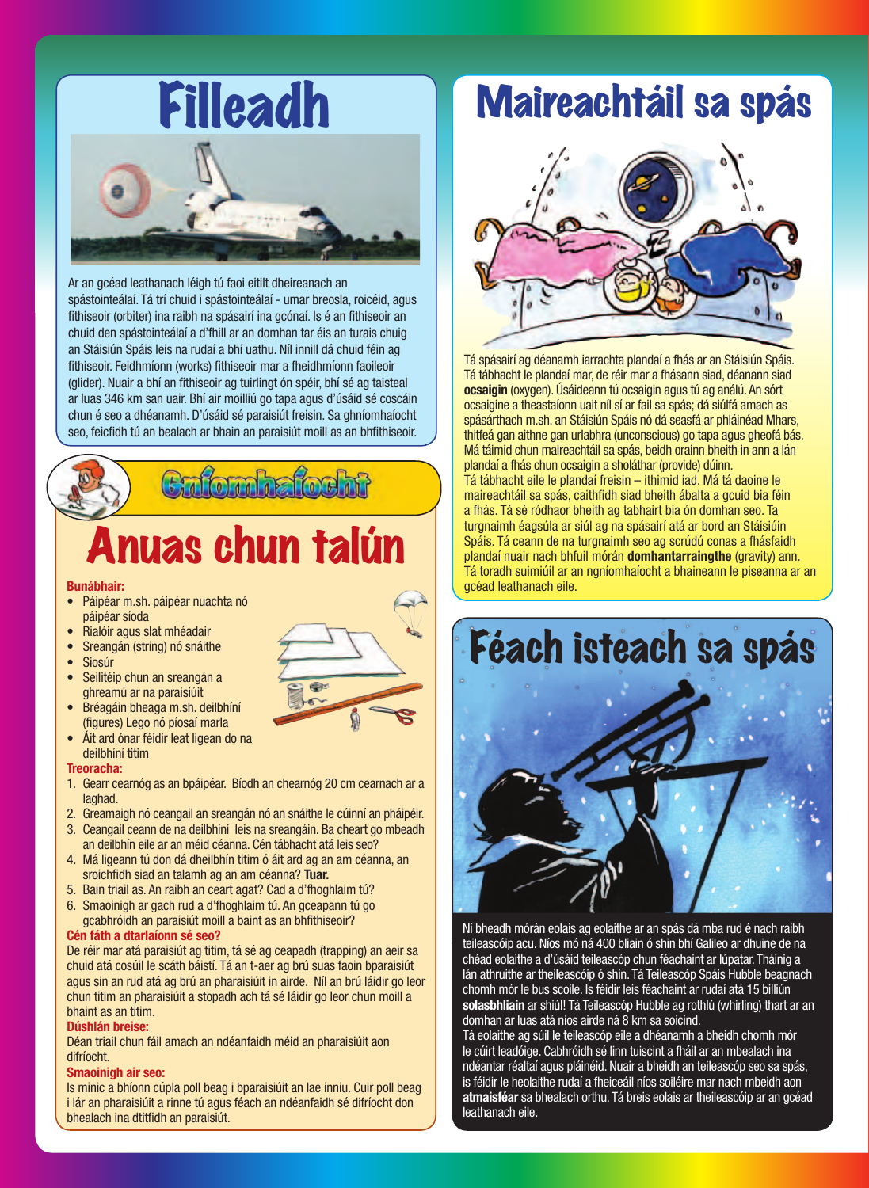

Ar an gcéad leathanach léigh tú faoi eitilt dheireanach an spástointeálaí. Tá trí chuid i spástointeálaí - umar breosla, roicéid, agus fithiseoir (orbiter) ina raibh na spásairí ina gcónaí. Is é an fithiseoir an chuid den spástointeálaí a d'fhill ar an domhan tar éis an turais chuig an Stáisiún Spáis leis na rudaí a bhí uathu. Níl innill dá chuid féin ag fithiseoir. Feidhmíonn (works) fithiseoir mar a fheidhmíonn faoileoir (glider). Nuair a bhí an fithiseoir ag tuirlingt ón spéir, bhí sé ag taisteal ar luas 346 km san uair. Bhí air moilliú go tapa agus d'úsáid sé coscáin chun é seo a dhéanamh. D'úsáid sé paraisiút freisin. Sa ghníomhaíocht seo, feicfidh tú an bealach ar bhain an paraisiút moill as an bhfithiseoir.



### Anuas chun talún

#### **Bunábhair:**

- Páipéar m.sh. páipéar nuachta nó páipéar síoda
- Rialóir agus slat mhéadair
- Sreangán (string) nó snáithe
- **Siosúr**
- Seilitéip chun an sreangán a ghreamú ar na paraisiúit Bréagáin bheaga m.sh. deilbhíní



(figures) Lego nó píosaí marla Áit ard ónar féidir leat ligean do na deilbhíní titim

#### **Treoracha:**

- 1. Gearr cearnóg as an bpáipéar. Bíodh an chearnóg 20 cm cearnach ar a laghad.
- 2. Greamaigh nó ceangail an sreangán nó an snáithe le cúinní an pháipéir.
- 3. Ceangail ceann de na deilbhíní leis na sreangáin. Ba cheart go mbeadh an deilbhín eile ar an méid céanna. Cén tábhacht atá leis seo?
- 4. Má ligeann tú don dá dheilbhín titim ó áit ard ag an am céanna, an sroichfidh siad an talamh ag an am céanna? **Tuar.**
- 5. Bain triail as. An raibh an ceart agat? Cad a d'fhoghlaim tú?
- 6. Smaoinigh ar gach rud a d'fhoghlaim tú. An gceapann tú go gcabhróidh an paraisiút moill a baint as an bhfithiseoir?

### **Cén fáth a dtarlaíonn sé seo?**

De réir mar atá paraisiút ag titim, tá sé ag ceapadh (trapping) an aeir sa chuid atá cosúil le scáth báistí. Tá an t-aer ag brú suas faoin bparaisiút agus sin an rud atá ag brú an pharaisiúit in airde. Níl an brú láidir go leor chun titim an pharaisiúit a stopadh ach tá sé láidir go leor chun moill a bhaint as an titim.

#### **Dúshlán breise:**

Déan triail chun fáil amach an ndéanfaidh méid an pharaisiúit aon difríocht.

#### **Smaoinigh air seo:**

Is minic a bhíonn cúpla poll beag i bparaisiúit an lae inniu. Cuir poll beag i lár an pharaisiúit a rinne tú agus féach an ndéanfaidh sé difríocht don bhealach ina dtitfidh an paraisiút.

### Maireachtáil sa spás



Tá spásairí ag déanamh iarrachta plandaí a fhás ar an Stáisiún Spáis. Tá tábhacht le plandaí mar, de réir mar a fhásann siad, déanann siad **ocsaigin** (oxygen). Úsáideann tú ocsaigin agus tú ag análú. An sórt ocsaigine a theastaíonn uait níl sí ar fail sa spás; dá siúlfá amach as spásárthach m.sh. an Stáisiún Spáis nó dá seasfá ar phláinéad Mhars, thitfeá gan aithne gan urlabhra (unconscious) go tapa agus gheofá bás. Má táimid chun maireachtáil sa spás, beidh orainn bheith in ann a lán plandaí a fhás chun ocsaigin a sholáthar (provide) dúinn. Tá tábhacht eile le plandaí freisin – ithimid iad. Má tá daoine le maireachtáil sa spás, caithfidh siad bheith ábalta a gcuid bia féin a fhás. Tá sé ródhaor bheith ag tabhairt bia ón domhan seo. Ta turgnaimh éagsúla ar siúl ag na spásairí atá ar bord an Stáisiúin Spáis. Tá ceann de na turgnaimh seo ag scrúdú conas a fhásfaidh plandaí nuair nach bhfuil mórán **domhantarraingthe** (gravity) ann. Tá toradh suimiúil ar an ngníomhaíocht a bhaineann le piseanna ar an gcéad leathanach eile.

## Féach isteach sa spás



Ní bheadh mórán eolais ag eolaithe ar an spás dá mba rud é nach raibh teileascóip acu. Níos mó ná 400 bliain ó shin bhí Galileo ar dhuine de na chéad eolaithe a d'úsáid teileascóp chun féachaint ar Iúpatar. Tháinig a lán athruithe ar theileascóip ó shin. Tá Teileascóp Spáis Hubble beagnach chomh mór le bus scoile. Is féidir leis féachaint ar rudaí atá 15 billiún **solasbhliain** ar shiúl! Tá Teileascóp Hubble ag rothlú (whirling) thart ar an domhan ar luas atá níos airde ná 8 km sa soicind.

Tá eolaithe ag súil le teileascóp eile a dhéanamh a bheidh chomh mór le cúirt leadóige. Cabhróidh sé linn tuiscint a fháil ar an mbealach ina ndéantar réaltaí agus pláinéid. Nuair a bheidh an teileascóp seo sa spás, is féidir le heolaithe rudaí a fheiceáil níos soiléire mar nach mbeidh aon **atmaisféar** sa bhealach orthu. Tá breis eolais ar theileascóip ar an gcéad leathanach eile.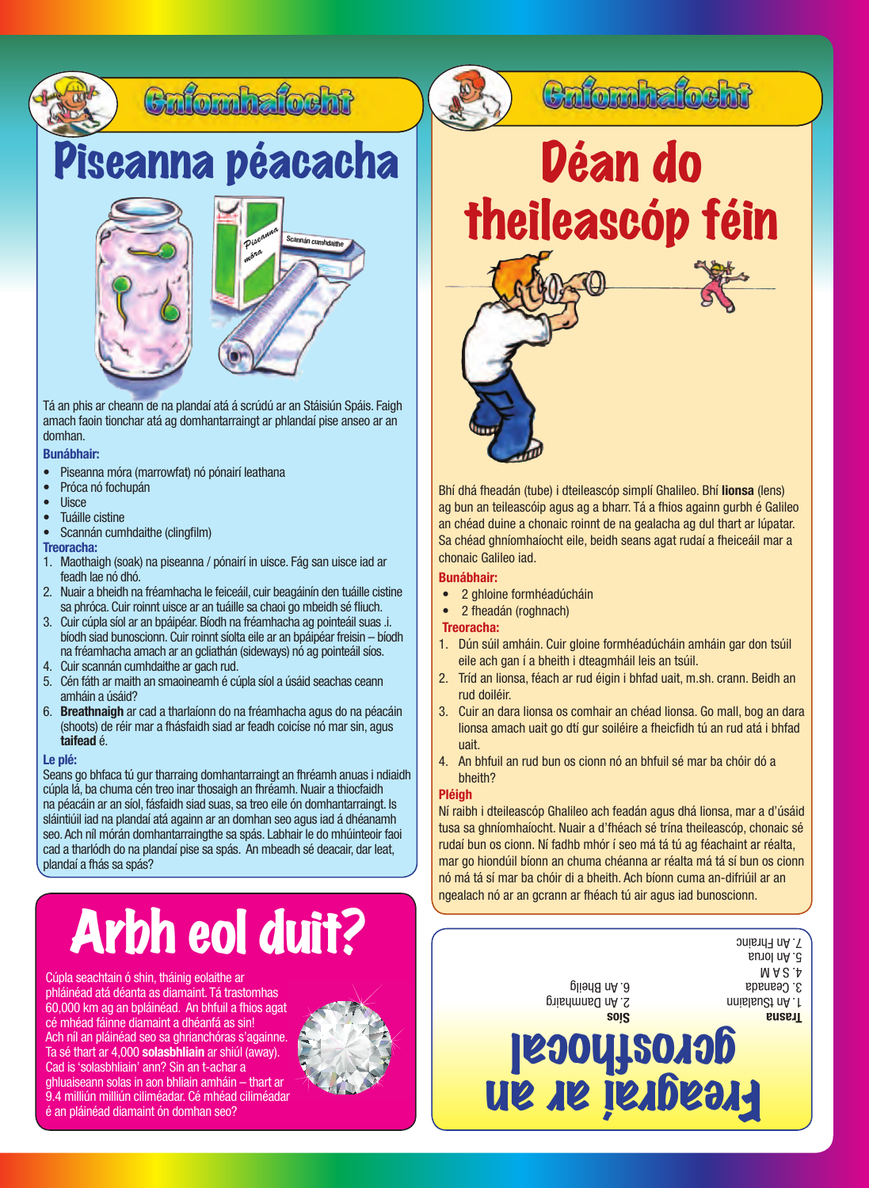

### Piseanna péacacha





Tá an phis ar cheann de na plandaí atá á scrúdú ar an Stáisiún Spáis. Faigh amach faoin tionchar atá ag domhantarraingt ar phlandaí pise anseo ar an domhan.

### **Bunábhair:**

- • Piseanna móra (marrowfat) nó pónairí leathana
- Próca nó fochupán<br>• Llisce
- Uisce<br>• Tuáille
- Tuáille cistine
- • Scannán cumhdaithe (clingfilm)

**Treoracha:**

- 1. Maothaigh (soak) na piseanna / pónairí in uisce. Fág san uisce iad ar feadh lae nó dhó.
- 2. Nuair a bheidh na fréamhacha le feiceáil, cuir beagáinín den tuáille cistine sa phróca. Cuir roinnt uisce ar an tuáille sa chaoi go mbeidh sé fliuch.
- 3. Cuir cúpla síol ar an bpáipéar. Bíodh na fréamhacha ag pointeáil suas .i. bíodh siad bunoscionn. Cuir roinnt síolta eile ar an bpáipéar freisin – bíodh na fréamhacha amach ar an gcliathán (sideways) nó ag pointeáil síos.
- 4. Cuir scannán cumhdaithe ar gach rud.
- 5. Cén fáth ar maith an smaoineamh é cúpla síol a úsáid seachas ceann amháin a úsáid?
- 6. **Breathnaigh** ar cad a tharlaíonn do na fréamhacha agus do na péacáin (shoots) de réir mar a fhásfaidh siad ar feadh coicíse nó mar sin, agus **taifead** é.

### **Le plé:**

Seans go bhfaca tú gur tharraing domhantarraingt an fhréamh anuas i ndiaidh cúpla lá, ba chuma cén treo inar thosaigh an fhréamh. Nuair a thiocfaidh na péacáin ar an síol, fásfaidh siad suas, sa treo eile ón domhantarraingt. Is sláintiúil iad na plandaí atá againn ar an domhan seo agus iad á dhéanamh seo. Ach níl mórán domhantarraingthe sa spás. Labhair le do mhúinteoir faoi cad a tharlódh do na plandaí pise sa spás. An mbeadh sé deacair, dar leat, plandaí a fhás sa spás?

# Arbh eol duit?

Cúpla seachtain ó shin, tháinig eolaithe ar 6. An Bheilgeachtain ó shine ar 6. An Bheilgeachtain ó shin, tháinig eolaithe ar 6. An Bheilgeachtain ó shine ar 6. An Bheilgeachtain ó shine ar 6. An Bheilgeachtain ó shine ar 6 phláinéad atá déanta as diamaint. Tá trastomhas 60,000 km ag an bpláinéad. An bhfuil a fhios agat cé mhéad fáinne diamaint a dhéanfá as sin! Ach níl an pláinéad seo sa ghrianchóras s'againne. Ta sé thart ar 4,000 **solasbhliain** ar shiúl (away). Cad is 'solasbhliain' ann? Sin an t-achar a ghluaiseann solas in aon bhliain amháin – thart ar 9.4 milliún milliún ciliméadar. Cé mhéad ciliméadar é an pláinéad diamaint ón domhan seo?



Déan do theileascóp féin

Bhí dhá fheadán (tube) i dteileascóp simplí Ghalileo. Bhí **lionsa** (lens) ag bun an teileascóip agus ag a bharr. Tá a fhios againn gurbh é Galileo an chéad duine a chonaic roinnt de na gealacha ag dul thart ar Iúpatar. Sa chéad ghníomhaíocht eile, beidh seans agat rudaí a fheiceáil mar a chonaic Galileo iad.

### **Bunábhair:**

- 2 ghloine formhéadúcháin
- 2 fheadán (roghnach)

### **Treoracha:**

- 1. Dún súil amháin. Cuir gloine formhéadúcháin amháin gar don tsúil eile ach gan í a bheith i dteagmháil leis an tsúil.
- 2. Tríd an lionsa, féach ar rud éigin i bhfad uait, m.sh. crann. Beidh an rud doiléir.
- 3. Cuir an dara lionsa os comhair an chéad lionsa. Go mall, bog an dara lionsa amach uait go dtí gur soiléire a fheicfidh tú an rud atá i bhfad uait.
- 4. An bhfuil an rud bun os cionn nó an bhfuil sé mar ba chóir dó a bheith?

### **Pléigh**

Ní raibh i dteileascóp Ghalileo ach feadán agus dhá lionsa, mar a d'úsáid tusa sa ghníomhaíocht. Nuair a d'fhéach sé trína theileascóp, chonaic sé rudaí bun os cionn. Ní fadhb mhór í seo má tá tú ag féachaint ar réalta, mar go hiondúil bíonn an chuma chéanna ar réalta má tá sí bun os cionn nó má tá sí mar ba chóir di a bheith. Ach bíonn cuma an-difriúil ar an ngealach nó ar an gcrann ar fhéach tú air agus iad bunoscionn.



Cafomhafocht